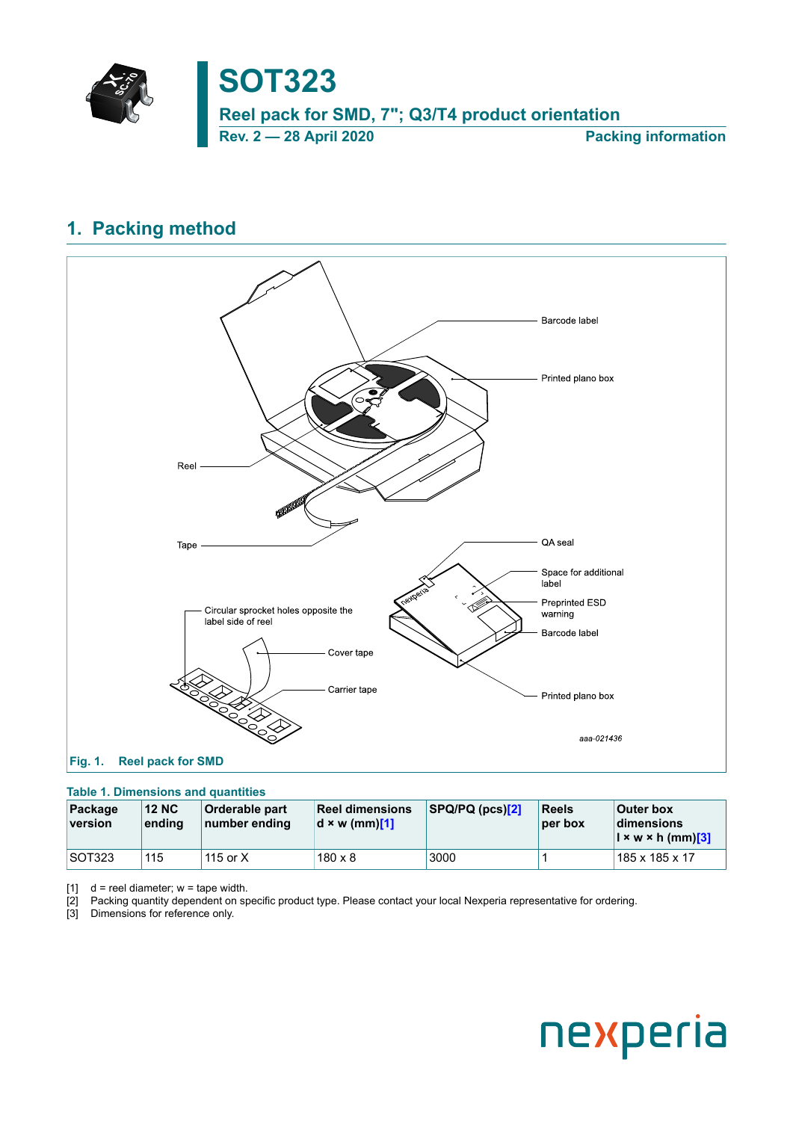

## **SOT323**

**Reel pack for SMD, 7"; Q3/T4 product orientation**

<span id="page-0-0"></span>**Rev. 2 — 28 April 2020 Packing information**

## **1. Packing method**



## **Table 1. Dimensions and quantities**

| Package<br>version | <b>12 NC</b><br>ending | <b>Orderable part</b><br>number ending | <b>Reel dimensions</b><br>$d \times w$ (mm)[1] | SPQ/PQ(pcs)[2] | Reels<br> per box | <b>Outer box</b><br>dimensions<br>$\vert x \wedge x \vert$ (mm) $\vert 3 \vert$ |
|--------------------|------------------------|----------------------------------------|------------------------------------------------|----------------|-------------------|---------------------------------------------------------------------------------|
| SOT323             | 115                    | 115 or $X$                             | $180 \times 8$                                 | 3000           |                   | 185 x 185 x 17                                                                  |

[1]  $d =$  reel diameter;  $w =$  tape width.

[2] Packing quantity dependent on specific product type. Please contact your local Nexperia representative for ordering.

[3] Dimensions for reference only.

# nexperia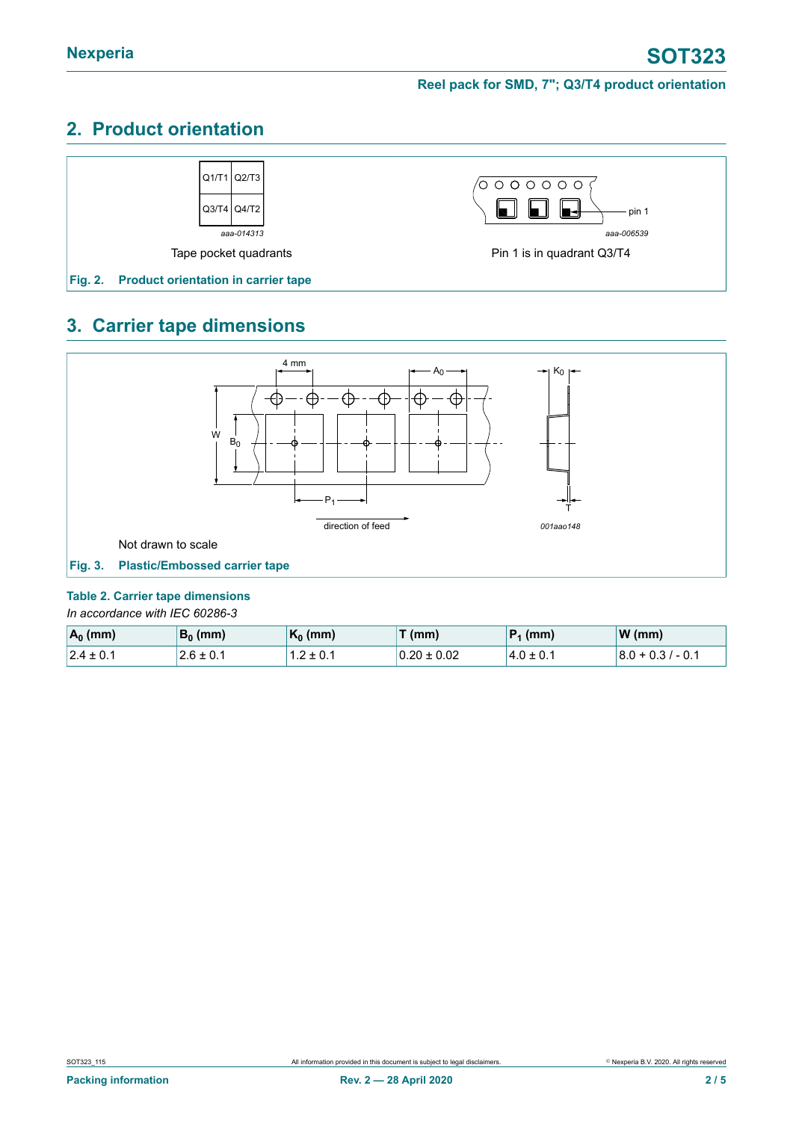## **2. Product orientation**



## **3. Carrier tape dimensions**



#### <span id="page-1-0"></span>**Table 2. Carrier tape dimensions**

*In accordance with IEC 60286-3*

| $A_0$ (mm)     | $B_0$ (mm)    | $\mathsf{K}_0$ (mm) | $\tau$ (mm)     | $ P_1$ (mm)    | $W$ (mm)            |
|----------------|---------------|---------------------|-----------------|----------------|---------------------|
| $ 2.4 \pm 0.1$ | $2.6 \pm 0.1$ | 1.2 ± 0.1           | $0.20 \pm 0.02$ | $14.0 \pm 0.1$ | $ 8.0 + 0.3  - 0.1$ |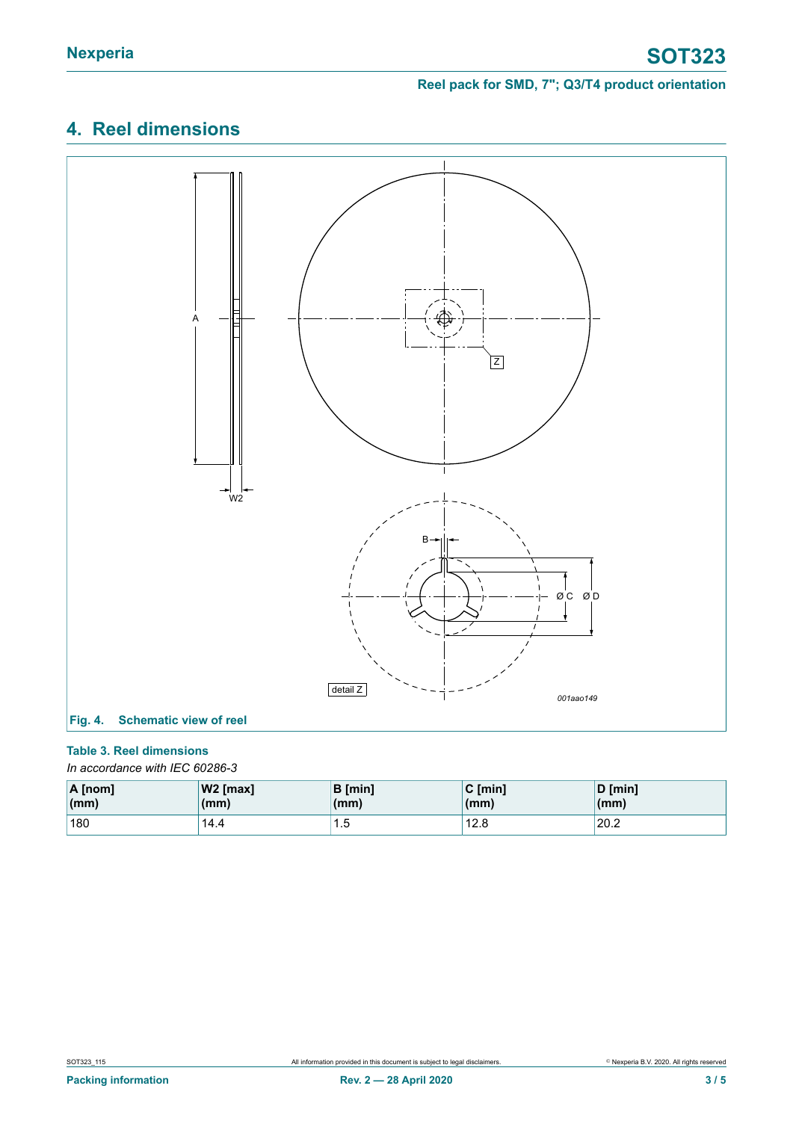## <span id="page-2-0"></span>**4. Reel dimensions**



### **Table 3. Reel dimensions**

*In accordance with IEC 60286-3*

| $\overline{A}$ [nom]   | $ W2$ [max] | <b>B</b> [min] | $C \text{ [min]}$ | D [min] |
|------------------------|-------------|----------------|-------------------|---------|
| $\mathsf{m}\mathsf{m}$ | (mm)        | (mm)           | (mm)              | (mm)    |
| 180                    | 14.4        | ں. ا           | 12.8              | 20.2    |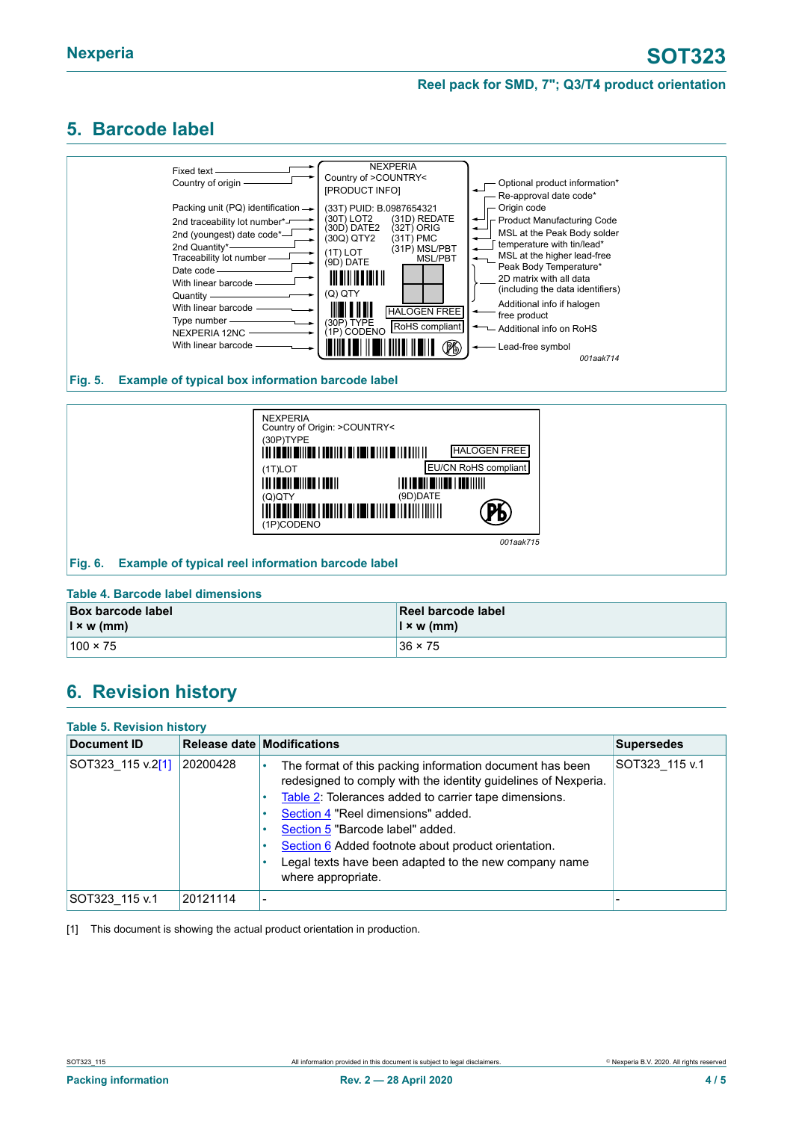## <span id="page-3-1"></span><span id="page-3-0"></span>**5. Barcode label**



#### **Fig. 5. Example of typical box information barcode label**



#### **Table 4. Barcode label dimensions**

| <b>Box barcode label</b> | Reel barcode label |
|--------------------------|--------------------|
| $\vert x \rangle$ w (mm) | $\vert$ x w (mm)   |
| $100 \times 75$          | $36 \times 75$     |

## <span id="page-3-2"></span>**6. Revision history**

| <b>Table 5. Revision history</b> |          |                                                                                                                                                                                                                                                                                                                                                                                                     |                   |  |  |
|----------------------------------|----------|-----------------------------------------------------------------------------------------------------------------------------------------------------------------------------------------------------------------------------------------------------------------------------------------------------------------------------------------------------------------------------------------------------|-------------------|--|--|
| Document ID                      |          | Release date Modifications                                                                                                                                                                                                                                                                                                                                                                          | <b>Supersedes</b> |  |  |
| SOT323 115 v.2[1]                | 20200428 | The format of this packing information document has been<br>redesigned to comply with the identity guidelines of Nexperia.<br>Table 2: Tolerances added to carrier tape dimensions.<br>Section 4 "Reel dimensions" added.<br>Section 5 "Barcode label" added.<br>Section 6 Added footnote about product orientation.<br>Legal texts have been adapted to the new company name<br>where appropriate. | SOT323 115 v.1    |  |  |
| SOT323 115 v.1                   | 20121114 | -                                                                                                                                                                                                                                                                                                                                                                                                   |                   |  |  |

[1] This document is showing the actual product orientation in production.